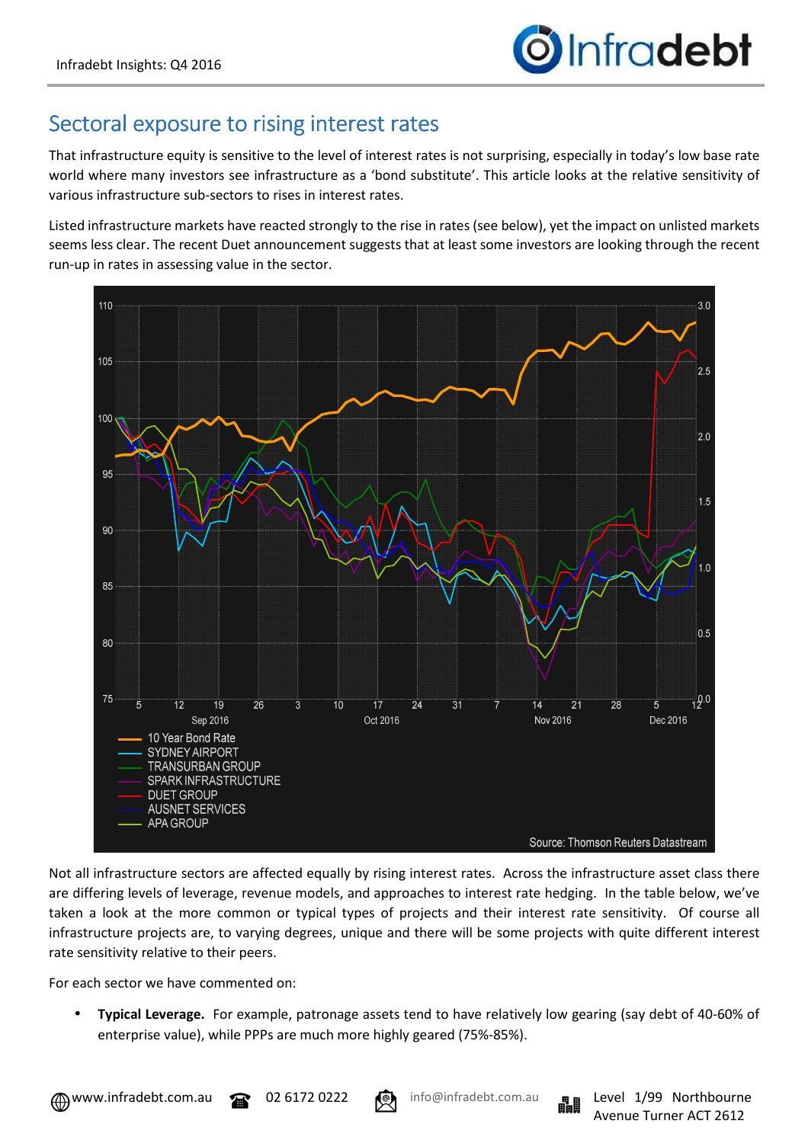## Sectoral exposure to rising interest rates

That infrastructure equity is sensitive to the level of interest rates is not surprising, especially in today's low base rate world where many investors see infrastructure as a 'bond substitute'. This article looks at the relative sensitivity of various infrastructure sub-sectors to rises in interest rates.

Listed infrastructure markets have reacted strongly to the rise in rates (see below), yet the impact on unlisted markets seems less clear. The recent Duet announcement suggests that at least some investors are looking through the recent run-up in rates in assessing value in the sector.



Not all infrastructure sectors are affected equally by rising interest rates. Across the infrastructure asset class there are differing levels of leverage, revenue models, and approaches to interest rate hedging. In the table below, we've taken a look at the more common or typical types of projects and their interest rate sensitivity. Of course all infrastructure projects are, to varying degrees, unique and there will be some projects with quite different interest rate sensitivity relative to their peers.

For each sector we have commented on:

• **Typical Leverage.** For example, patronage assets tend to have relatively low gearing (say debt of 40-60% of enterprise value), while PPPs are much more highly geared (75%-85%).

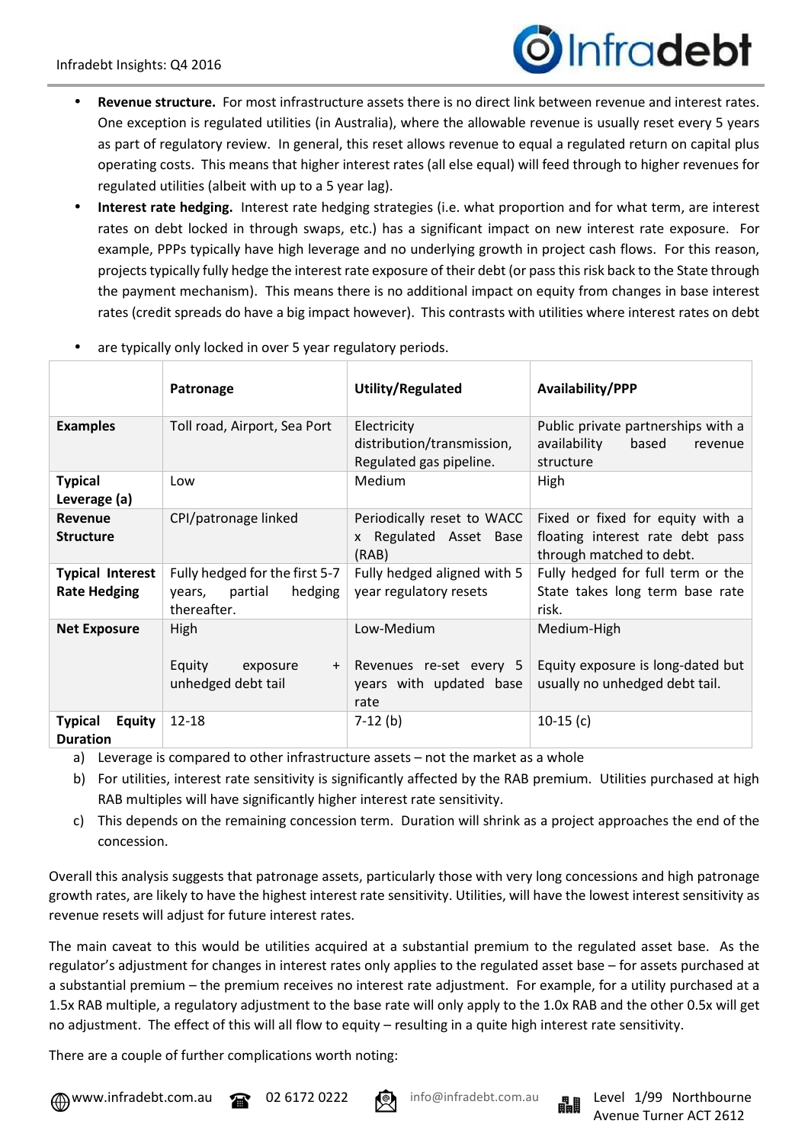## Infradebt

- **Revenue structure.** For most infrastructure assets there is no direct link between revenue and interest rates. One exception is regulated utilities (in Australia), where the allowable revenue is usually reset every 5 years as part of regulatory review. In general, this reset allows revenue to equal a regulated return on capital plus operating costs. This means that higher interest rates (all else equal) will feed through to higher revenues for regulated utilities (albeit with up to a 5 year lag).
- **Interest rate hedging.** Interest rate hedging strategies (i.e. what proportion and for what term, are interest rates on debt locked in through swaps, etc.) has a significant impact on new interest rate exposure. For example, PPPs typically have high leverage and no underlying growth in project cash flows. For this reason, projects typically fully hedge the interest rate exposure of their debt (or pass this risk back to the State through the payment mechanism). This means there is no additional impact on equity from changes in base interest rates (credit spreads do have a big impact however). This contrasts with utilities where interest rates on debt

|                                                | Patronage                                                                     | Utility/Regulated                                                        | Availability/PPP                                                                                 |
|------------------------------------------------|-------------------------------------------------------------------------------|--------------------------------------------------------------------------|--------------------------------------------------------------------------------------------------|
| <b>Examples</b>                                | Toll road, Airport, Sea Port                                                  | Electricity<br>distribution/transmission,<br>Regulated gas pipeline.     | Public private partnerships with a<br>availability<br>based<br>revenue<br>structure              |
| <b>Typical</b><br>Leverage (a)                 | Low                                                                           | <b>Medium</b>                                                            | High                                                                                             |
| Revenue<br><b>Structure</b>                    | CPI/patronage linked                                                          | Periodically reset to WACC<br>x Regulated Asset Base<br>(RAB)            | Fixed or fixed for equity with a<br>floating interest rate debt pass<br>through matched to debt. |
| <b>Typical Interest</b><br><b>Rate Hedging</b> | Fully hedged for the first 5-7<br>hedging<br>partial<br>years,<br>thereafter. | Fully hedged aligned with 5<br>year regulatory resets                    | Fully hedged for full term or the<br>State takes long term base rate<br>risk.                    |
| <b>Net Exposure</b>                            | High<br>Equity<br>exposure<br>$+$<br>unhedged debt tail                       | Low-Medium<br>Revenues re-set every 5<br>years with updated base<br>rate | Medium-High<br>Equity exposure is long-dated but<br>usually no unhedged debt tail.               |
| <b>Typical</b><br>Equity<br><b>Duration</b>    | $12 - 18$                                                                     | $7-12$ (b)                                                               | $10-15(c)$                                                                                       |

are typically only locked in over 5 year regulatory periods.

a) Leverage is compared to other infrastructure assets – not the market as a whole

- b) For utilities, interest rate sensitivity is significantly affected by the RAB premium. Utilities purchased at high RAB multiples will have significantly higher interest rate sensitivity.
- c) This depends on the remaining concession term. Duration will shrink as a project approaches the end of the concession.

Overall this analysis suggests that patronage assets, particularly those with very long concessions and high patronage growth rates, are likely to have the highest interest rate sensitivity. Utilities, will have the lowest interest sensitivity as revenue resets will adjust for future interest rates.

The main caveat to this would be utilities acquired at a substantial premium to the regulated asset base. As the regulator's adjustment for changes in interest rates only applies to the regulated asset base – for assets purchased at a substantial premium – the premium receives no interest rate adjustment. For example, for a utility purchased at a 1.5x RAB multiple, a regulatory adjustment to the base rate will only apply to the 1.0x RAB and the other 0.5x will get no adjustment. The effect of this will all flow to equity – resulting in a quite high interest rate sensitivity.

There are a couple of further complications worth noting: